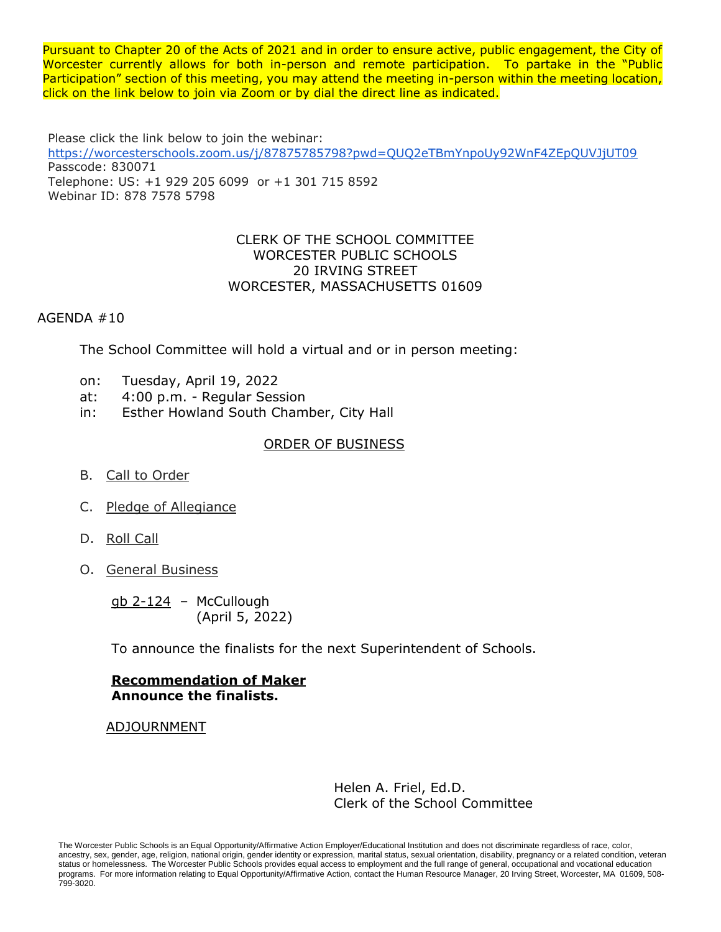Pursuant to Chapter 20 of the Acts of 2021 and in order to ensure active, public engagement, the City of Worcester currently allows for both in-person and remote participation. To partake in the "Public Participation" section of this meeting, you may attend the meeting in-person within the meeting location, click on the link below to join via Zoom or by dial the direct line as indicated.

Please click the link below to join the webinar: <https://worcesterschools.zoom.us/j/87875785798?pwd=QUQ2eTBmYnpoUy92WnF4ZEpQUVJjUT09> Passcode: 830071 Telephone: US: +1 929 205 6099 or +1 301 715 8592 Webinar ID: 878 7578 5798

### CLERK OF THE SCHOOL COMMITTEE WORCESTER PUBLIC SCHOOLS 20 IRVING STREET WORCESTER, MASSACHUSETTS 01609

## AGENDA #10

The School Committee will hold a virtual and or in person meeting:

- on: Tuesday, April 19, 2022
- at: 4:00 p.m. Regular Session
- in: Esther Howland South Chamber, City Hall

## ORDER OF BUSINESS

- B. Call to Order
- C. Pledge of Allegiance
- D. Roll Call
- O. General Business

 $gb$  2-124 – McCullough (April 5, 2022)

To announce the finalists for the next Superintendent of Schools.

### **Recommendation of Maker Announce the finalists.**

ADJOURNMENT

Helen A. Friel, Ed.D. Clerk of the School Committee

The Worcester Public Schools is an Equal Opportunity/Affirmative Action Employer/Educational Institution and does not discriminate regardless of race, color, ancestry, sex, gender, age, religion, national origin, gender identity or expression, marital status, sexual orientation, disability, pregnancy or a related condition, veteran status or homelessness. The Worcester Public Schools provides equal access to employment and the full range of general, occupational and vocational education programs. For more information relating to Equal Opportunity/Affirmative Action, contact the Human Resource Manager, 20 Irving Street, Worcester, MA 01609, 508- 799-3020.